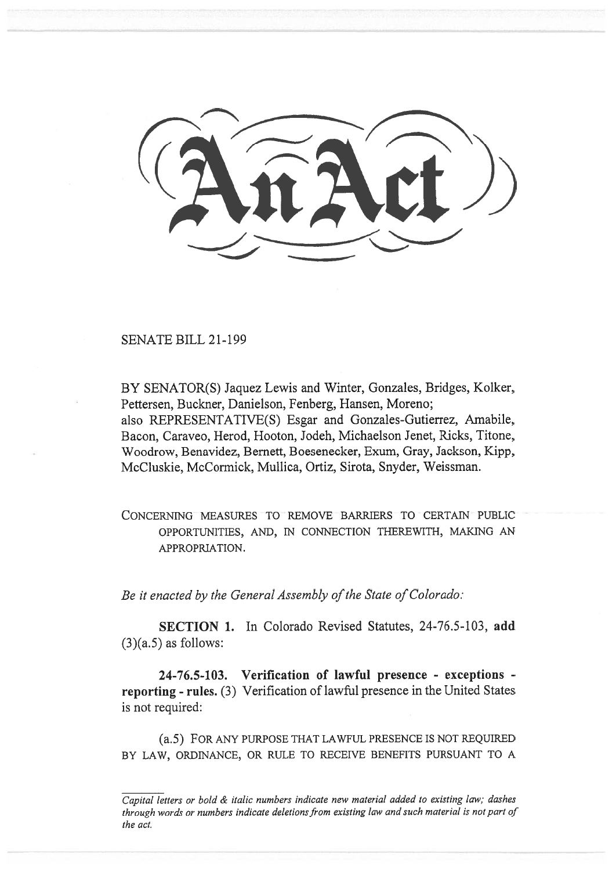SENATE BILL 21-199

BY SENATOR(S) Jaquez Lewis and Winter, Gonzales, Bridges, Kolker, Pettersen, Buckner, Danielson, Fenberg, Hansen, Moreno; also REPRESENTATIVE(S) Esgar and Gonzales-Gutierrez, Amabile, Bacon, Caraveo, Herod, Hooton, Jodeh, Michaelson Jenet, Ricks, Titone, Woodrow, Benavidez, Bernett, Boesenecker, Exum, Gray, Jackson, Kipp, McCluskie, McCormick, Mullica, Ortiz, Sirota, Snyder, Weissman.

CONCERNING MEASURES TO REMOVE BARRIERS TO CERTAIN PUBLIC OPPORTUNITIES, AND, IN CONNECTION THEREWITH, MAKING AN APPROPRIATION.

Be it enacted by the General Assembly of the State of Colorado:

SECTION 1. In Colorado Revised Statutes, 24-76.5-103, add  $(3)(a.5)$  as follows:

24-76.5-103. Verification of lawful presence - exceptions reporting - rules. (3) Verification of lawful presence in the United States is not required:

(a.5) FOR ANY PURPOSE THAT LAWFUL PRESENCE IS NOT REQUIRED BY LAW, ORDINANCE, OR RULE TO RECEIVE BENEFITS PURSUANT TO A

Capital letters or bold & italic numbers indicate new material added to existing law; dashes through words or numbers indicate deletions from existing law and such material is not part of the act.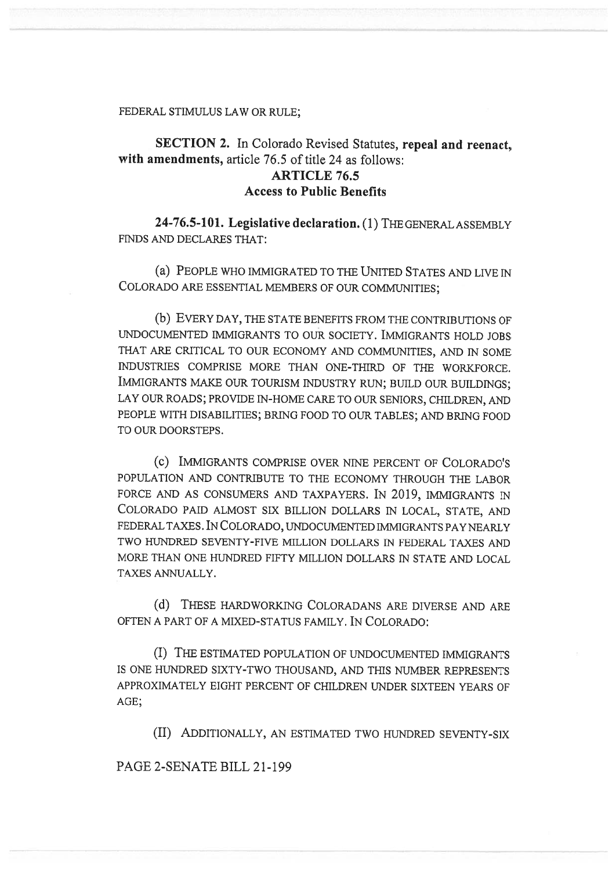#### FEDERAL STIMULUS LAW OR RULE;

# SECTION 2. In Colorado Revised Statutes, repeal and reenact, with amendments, article 76.5 of title 24 as follows: ARTICLE 76.5 Access to Public Benefits

24-76.5-101. Legislative declaration. (1) THE GENERAL ASSEMBLY FINDS AND DECLARES THAT:

(a) PEOPLE WHO IMMIGRATED TO THE UNITED STATES AND LIVE IN COLORADO ARE ESSENTIAL MEMBERS OF OUR COMMUNITIES;

(b) EVERY DAY, THE STATE BENEFITS FROM THE CONTRIBUTIONS OF UNDOCUMENTED IMMIGRANTS TO OUR SOCIETY. IMMIGRANTS HOLD JOBS THAT ARE CRITICAL TO OUR ECONOMY AND COMMUNITIES, AND IN SOME INDUSTRIES COMPRISE MORE THAN ONE-THIRD OF THE WORKFORCE. IMMIGRANTS MAKE OUR TOURISM INDUSTRY RUN; BUILD OUR BUILDINGS; LAY OUR ROADS; PROVIDE IN-HOME CARE TO OUR SENIORS, CHILDREN, AND PEOPLE WITH DISABILITIES; BRING FOOD TO OUR TABLES; AND BRING FOOD TO OUR DOORSTEPS.

(c) IMMIGRANTS COMPRISE OVER NINE PERCENT OF COLORADO'S POPULATION AND CONTRIBUTE TO THE ECONOMY THROUGH THE LABOR FORCE AND AS CONSUMERS AND TAXPAYERS. IN 2019, IMMIGRANTS IN COLORADO PAID ALMOST SIX BILLION DOLLARS IN LOCAL, STATE, AND FEDERAL TAXES. IN COLORADO, UNDOCUMENTED IMMIGRANTS PAY NEARLY TWO HUNDRED SEVENTY-FIVE MILLION DOLLARS IN FEDERAL TAXES AND MORE THAN ONE HUNDRED FIFTY MILLION DOLLARS IN STATE AND LOCAL TAXES ANNUALLY.

(d) THESE HARDWORKING COLORADANS ARE DIVERSE AND ARE OFTEN A PART OF A MIXED-STATUS FAMILY. IN COLORADO:

(I) THE ESTIMATED POPULATION OF UNDOCUMENTED IMMIGRANTS IS ONE HUNDRED SIXTY-TWO THOUSAND, AND THIS NUMBER REPRESENTS APPROXIMATELY EIGHT PERCENT OF CHILDREN UNDER SIXTEEN YEARS OF AGE;

(II) ADDITIONALLY, AN ESTIMATED TWO HUNDRED SEVENTY-SIX

PAGE 2-SENATE BILL 21-199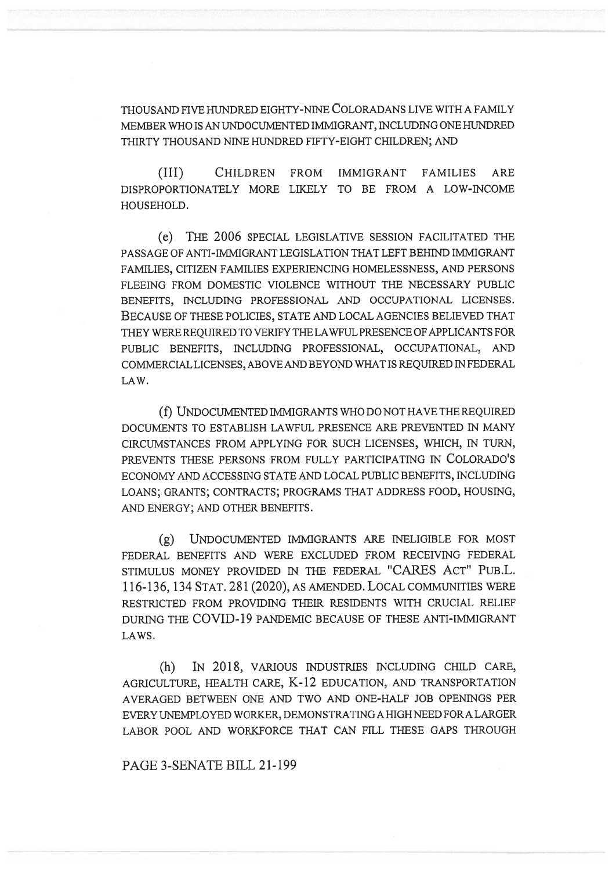THOUSAND FIVE HUNDRED EIGHTY-NINE COLORADANS LIVE WITH A FAMILY MEMBER WHO IS AN UNDOCUMENTED IMMIGRANT, INCLUDING ONE HUNDRED THIRTY THOUSAND NINE HUNDRED FIFTY-EIGHT CHILDREN; AND

(III) CHILDREN FROM IMMIGRANT FAMILIES ARE DISPROPORTIONATELY MORE LIKELY TO BE FROM A LOW-INCOME HOUSEHOLD.

(e) THE 2006 SPECIAL LEGISLATIVE SESSION FACILITATED THE PASSAGE OF ANTI-IMMIGRANT LEGISLATION THAT LEFT BEHIND IMMIGRANT FAMILIES, CITIZEN FAMILIES EXPERIENCING HOMELESSNESS, AND PERSONS FLEEING FROM DOMESTIC VIOLENCE WITHOUT THE NECESSARY PUBLIC BENEFITS, INCLUDING PROFESSIONAL AND OCCUPATIONAL LICENSES. BECAUSE OF THESE POLICIES, STATE AND LOCAL AGENCIES BELIEVED THAT THEY WERE REQUIRED TO VERIFY THE LAWFUL PRESENCE OF APPLICANTS FOR PUBLIC BENEFITS, INCLUDING PROFESSIONAL, OCCUPATIONAL, AND COMMERCIAL LICENSES, ABOVE AND BEYOND WHAT IS REQUIRED IN FEDERAL LAW.

(f) UNDOCUMENTED IMMIGRANTS WHO DO NOT HAVE THE REQUIRED DOCUMENTS TO ESTABLISH LAWFUL PRESENCE ARE PREVENTED IN MANY CIRCUMSTANCES FROM APPLYING FOR SUCH LICENSES, WHICH, IN TURN, PREVENTS THESE PERSONS FROM FULLY PARTICIPATING IN COLORADO'S ECONOMY AND ACCESSING STATE AND LOCAL PUBLIC BENEFITS, INCLUDING LOANS; GRANTS; CONTRACTS; PROGRAMS THAT ADDRESS FOOD, HOUSING, AND ENERGY; AND OTHER BENEFITS.

(g) UNDOCUMENTED IMMIGRANTS ARE INELIGIBLE FOR MOST FEDERAL BENEFITS AND WERE EXCLUDED FROM RECEIVING FEDERAL STIMULUS MONEY PROVIDED IN THE FEDERAL "CARES ACT" PUB.L. 116-136, 134 STAT. 281 (2020), AS AMENDED. LOCAL COMMUNITIES WERE RESTRICTED FROM PROVIDING THEIR RESIDENTS WITH CRUCIAL RELIEF DURING THE COVID-19 PANDEMIC BECAUSE OF THESE ANTI-IMMIGRANT LAWS.

(h) IN 2018, VARIOUS INDUSTRIES INCLUDING CHILD CARE, AGRICULTURE, HEALTH CARE, K-12 EDUCATION, AND TRANSPORTATION AVERAGED BETWEEN ONE AND TWO AND ONE-HALF JOB OPENINGS PER EVERY UNEMPLOYED WORKER, DEMONSTRATING A HIGH NEED FOR A LARGER LABOR POOL AND WORKFORCE THAT CAN FILL THESE GAPS THROUGH

## PAGE 3-SENATE BILL 21-199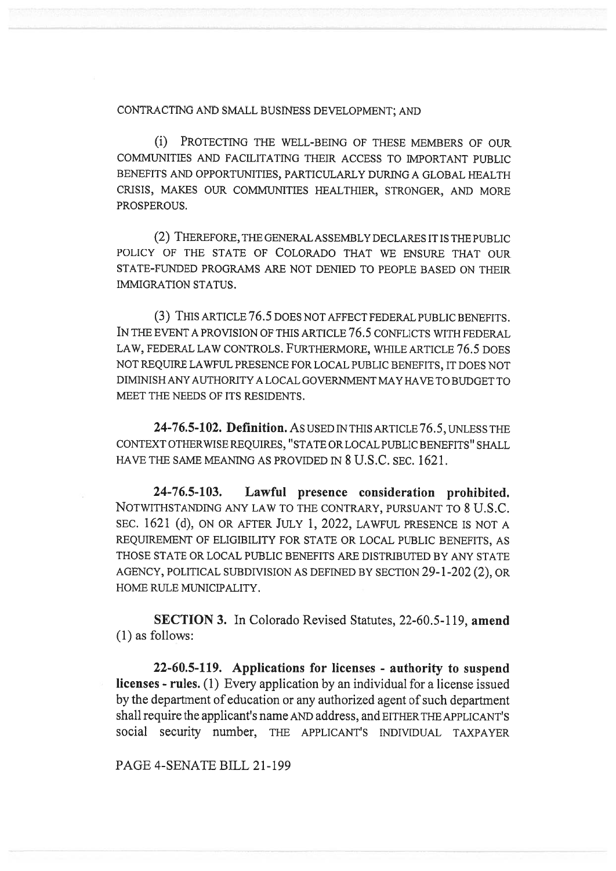### CONTRACTING AND SMALL BUSINESS DEVELOPMENT; AND

(i) PROTECTING THE WELL-BEING OF THESE MEMBERS OF OUR COMMUNITIES AND FACILITATING THEIR ACCESS TO IMPORTANT PUBLIC BENEFITS AND OPPORTUNITIES, PARTICULARLY DURING A GLOBAL HEALTH CRISIS, MAKES OUR COMMUNITIES HEALTHIER, STRONGER, AND MORE PROSPEROUS.

(2) THEREFORE, THE GENERAL ASSEMBLY DECLARES IT IS THE PUBLIC POLICY OF THE STATE OF COLORADO THAT WE ENSURE THAT OUR STATE-FUNDED PROGRAMS ARE NOT DENIED TO PEOPLE BASED ON THEIR IMMIGRATION STATUS.

(3) THIS ARTICLE 76.5 DOES NOT AFFECT FEDERAL PUBLIC BENEFITS. IN THE EVENT A PROVISION OF THIS ARTICLE 76.5 CONFLICTS WITH FEDERAL LAW, FEDERAL LAW CONTROLS. FURTHERMORE, WHILE ARTICLE 76.5 DOES NOT REQUIRE LAWFUL PRESENCE FOR LOCAL PUBLIC BENEFITS, IT DOES NOT DIMINISH ANY AUTHORITY A LOCAL GOVERNMENT MAY HAVE TO BUDGET TO MEET THE NEEDS OF ITS RESIDENTS.

24-76.5-102. Definition. AS USED IN THIS ARTICLE 76.5, UNLESS THE CONTEXT OTHERWISE REQUIRES, "STATE OR LOCAL PUBLIC BENEFITS" SHALL HAVE THE SAME MEANING AS PROVIDED IN 8 U.S.C. SEC. 1621.

24-76.5-103. Lawful presence consideration prohibited. NOTWITHSTANDING ANY LAW TO THE CONTRARY, PURSUANT TO 8 U.S.C. SEC. 1621 (d), ON OR AFTER JULY 1, 2022, LAWFUL PRESENCE IS NOT A REQUIREMENT OF ELIGIBILITY FOR STATE OR LOCAL PUBLIC BENEFITS, AS THOSE STATE OR LOCAL PUBLIC BENEFITS ARE DISTRIBUTED BY ANY STATE AGENCY, POLITICAL SUBDIVISION AS DEFINED BY SECTION 29-1-202 (2), OR HOME RULE MUNICIPALITY.

SECTION 3. In Colorado Revised Statutes, 22-60.5-119, amend (1) as follows:

22-60.5-119. Applications for licenses - authority to suspend licenses - rules. (1) Every application by an individual for a license issued by the department of education or any authorized agent of such department shall require the applicant's name AND address, and EITHER THE APPLICANT'S social security number, THE APPLICANT'S INDIVIDUAL TAXPAYER

PAGE 4-SENATE BILL 21-199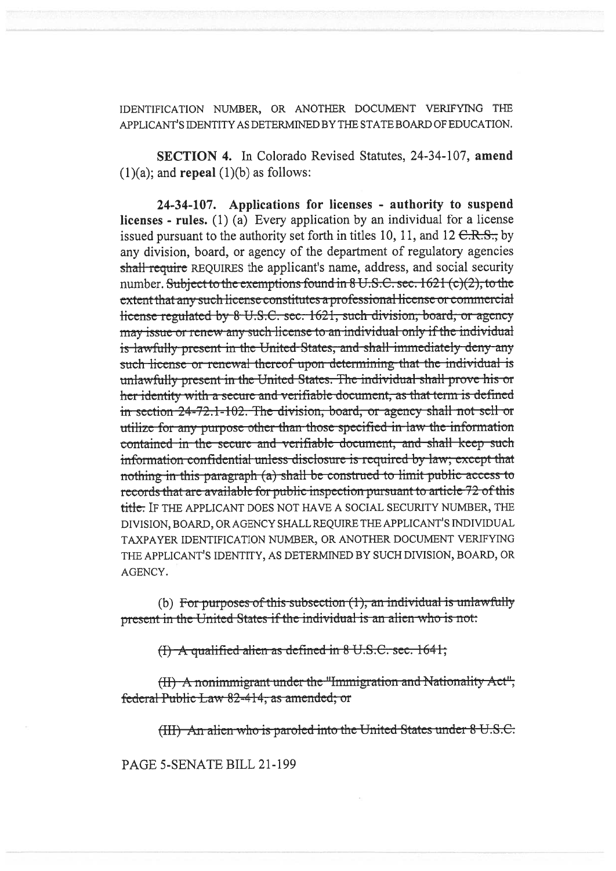IDENTIFICATION NUMBER, OR ANOTHER DOCUMENT VERIFYING THE APPLICANT'S IDENTITY AS DETERMINED BY THE STATE BOARD OF EDUCATION.

SECTION 4. In Colorado Revised Statutes, 24-34-107, amend  $(1)(a)$ ; and **repeal**  $(1)(b)$  as follows:

24-34-107. Applications for licenses - authority to suspend licenses - rules.  $(1)$  (a) Every application by an individual for a license issued pursuant to the authority set forth in titles 10, 11, and 12  $C.R.S.,$  by any division, board, or agency of the department of regulatory agencies shall require REQUIRES the applicant's name, address, and social security number. Subject to the exemptions found in 8 U.S.C. sec. 1621 (c)(2), to the extent that any such license constitutes a professional license or commercial license regulated by 8 U.S.C. sec. 1621, such division, board, or agency may issue or renew any such license to an individual only if the individual is lawfully present in the United States, and shall immediately deny any such license or renewal thereof upon determining that the individual is unlawfully present in the United States. The individual shall prove his or her identity with a secure and verifiable document, as that term is defined in section 24-72.1-102. The division, board, or agency shall not sell or utilize for any purpose other than those specified in law the information contained in the secure and verifiable document, and shall keep such information confidential unless disclosure is required by law; except that nothing in this paragraph (a) shall be construed to limit public access to records that are available for public inspection pursuant to article 72 of this title. IF THE APPLICANT DOES NOT HAVE A SOCIAL SECURITY NUMBER, THE DIVISION, BOARD, OR AGENCY SHALL REQUIRE THE APPLICANT'S INDIVIDUAL TAXPAYER IDENTIFICATION NUMBER, OR ANOTHER DOCUMENT VERIFYING THE APPLICANT'S IDENTITY, AS DETERMINED BY SUCH DIVISION, BOARD, OR AGENCY.

(b) For purposes of this subsection  $(1)$ , an individual is unlawfully present in the United States if the individual is an alien who is not:

(I) A qualified alien as defined in 8 U.S.C. sec. 1641;

(II) A nonimmigrant under the "Immigration and Nationality Act", federal Public Law 82-414, as amended; or

(III) An alien who is paroled into the United States under 8 U.S.C.

PAGE 5-SENATE BILL 21-199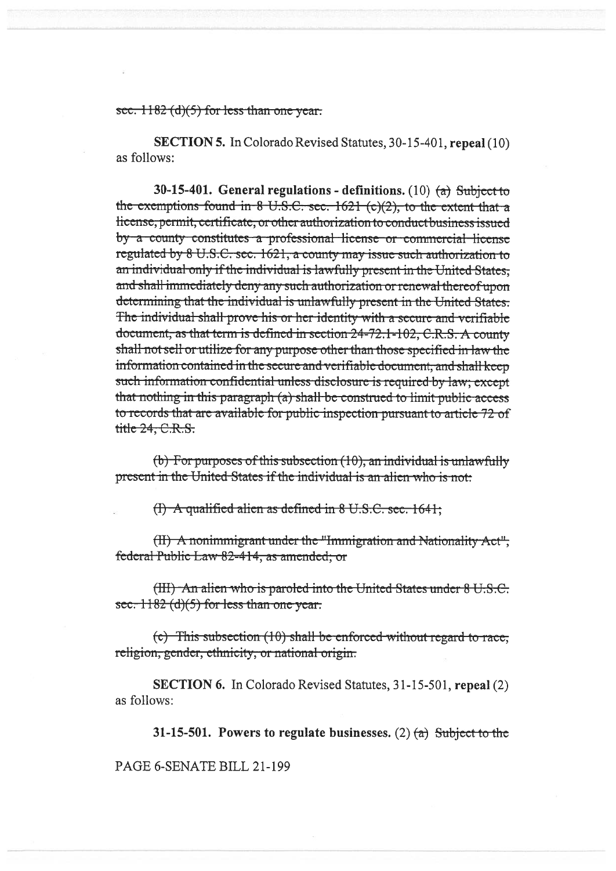### sec.  $1182$  (d)(5) for less than one year.

**SECTION 5.** In Colorado Revised Statutes, 30-15-401, repeal (10) as follows:

30-15-401. General regulations - definitions. (10)  $(a)$  Subject to the exemptions found in 8 U.S.C. sec.  $1621$  (c)(2), to the extent that a license; permit, certificate, or other authorization to conduct business issued by a county constitutes a professional license or commercial license regulated by 8 U.S.C. sec. 1621, a county may issue such authorization to an individual only if the individual is lawfully present in the United States. and shall immediately deny any such authorization or renewal thereof upon determining that the individual is unlawfully present in the United States. The individual shall prove his or her identity with a secure and verifiable document, as that term is defined in section 24-72.1-102, C.R.S. A county shall not sell or utilize for any purpose other than those specified in law the information contained in the secure and verifiable document, and shall keep such information confidential unless disclosure is required by law; except that nothing in this paragraph (a) shall be construed to limit public access to records that are available for public inspection pursuant to article 72 of title 24, C.R.S.

(b) For purposes of this subsection  $(10)$ , an individual is unlawfully present in the United States if the individual is an alien who is not:

 $(1)$  A qualified alien as defined in 8 U.S.C. sec. 1641;

(II) A nonimmigrant under the "Immigration and Nationality Act", federal Public Law 82-414, as amended; or

(III) An alien who is paroled into the United States under 8 U.S.C. sec.  $1182$  (d)(5) for less than one year.

(c) This subsection (10) shall be enforced without regard to race, religion, gender, ethnicity, or national origin.

**SECTION 6.** In Colorado Revised Statutes, 31-15-501, repeal (2) as follows:

31-15-501. Powers to regulate businesses. (2)  $(a)$  Subject to the

PAGE 6-SENATE BILL 21-199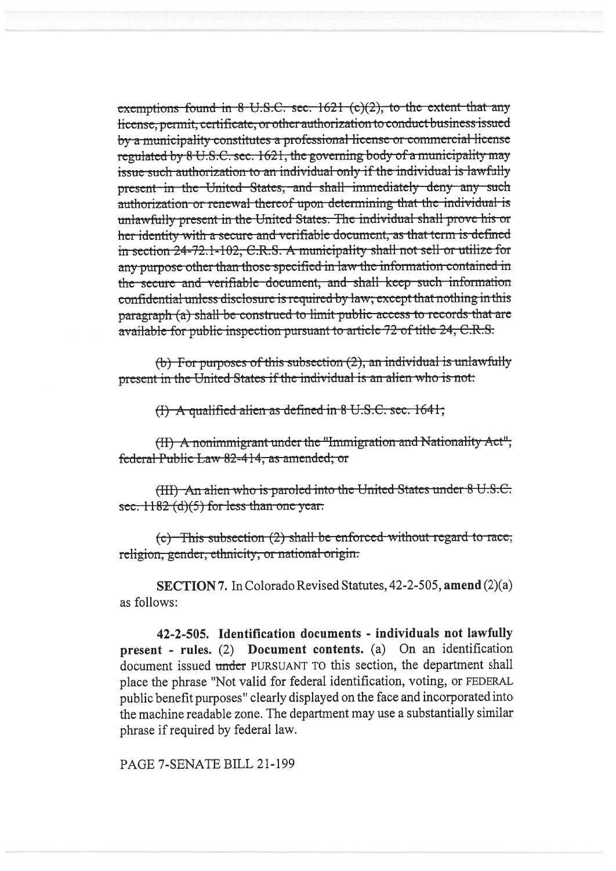exemptions found in 8 U.S.C. sec. 1621 (c)(2), to the extent that any license, permit, certificate, or other authorization to conduct business issued by a municipality constitutes a professional license or commercial license regulated by 8 U.S.C. sec. 1621, the governing body of a municipality may issue such authorization to an individual only if the individual is lawfully present in the United States, and shall immediately deny any such authorization or renewal thereof upon determining that the individual is unlawfully present in the United States. The individual shall prove his or her identity with a secure and verifiable document, as that term is defined in section 24-72.1-102, C.R.S. A municipality shall not sell or utilize for any purpose other than those specified in law the information contained in the secure and verifiable document, and shall keep such information confidential unless disclosure is required by law; except that nothing in this paragraph (a) shall be construed to limit public access to records that are available for public inspection pursuant to article 72 of title 24, C.R.S.

(b) For purposes of this subsection  $(2)$ , an individual is unlawfully present in the United States if the individual is an alien who is not:

 $(1)$  A qualified alien as defined in 8 U.S.C. sec. 1641;

(II) A nonimmigrant under the "Immigration and Nationality Act", federal Public Law 82-414, as amended; or

(HI) An alien who is paroled into the United States under 8 U.S.C. sec.  $1182$  (d)(5) for less than one year.

 $(c)$  This subsection (2) shall be enforced without regard to race; religion, gender, ethnicity, or national origin.

SECTION 7. In Colorado Revised Statutes, 42-2-505, amend (2)(a) as follows:

42-2-505. Identification documents - individuals not lawfully present - rules. (2) Document contents. (a) On an identification document issued under PURSUANT TO this section, the department shall place the phrase "Not valid for federal identification, voting, or FEDERAL public benefit purposes" clearly displayed on the face and incorporated into the machine readable zone. The department may use a substantially similar phrase if required by federal law.

PAGE 7-SENATE BILL 21-199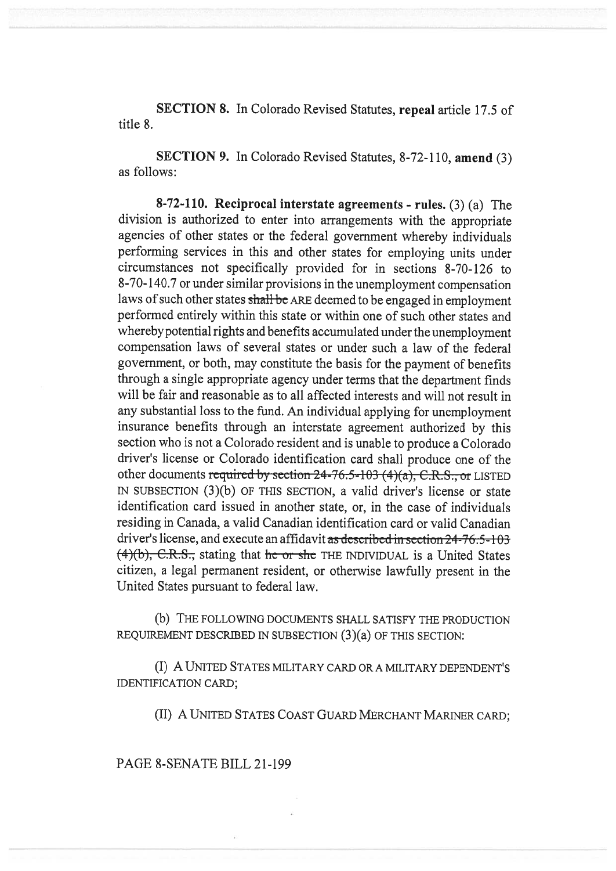SECTION 8. In Colorado Revised Statutes, repeal article 17.5 of title 8.

SECTION 9. In Colorado Revised Statutes, 8-72-110, amend (3) as follows:

8-72-110. Reciprocal interstate agreements - rules. (3) (a) The division is authorized to enter into arrangements with the appropriate agencies of other states or the federal government whereby individuals performing services in this and other states for employing units under circumstances not specifically provided for in sections 8-70-126 to 8-70-140.7 or under similar provisions in the unemployment compensation laws of such other states shall be ARE deemed to be engaged in employment performed entirely within this state or within one of such other states and whereby potential rights and benefits accumulated under the unemployment compensation laws of several states or under such a law of the federal government, or both, may constitute the basis for the payment of benefits through a single appropriate agency under terms that the department finds will be fair and reasonable as to all affected interests and will not result in any substantial loss to the fund. An individual applying for unemployment insurance benefits through an interstate agreement authorized by this section who is not a Colorado resident and is unable to produce a Colorado driver's license or Colorado identification card shall produce one of the other documents required by section  $24-76.5-103$  (4)(a), C,R,S, or LISTED IN SUBSECTION (3)(b) OF THIS SECTION, a valid driver's license or state identification card issued in another state, or, in the case of individuals residing in Canada, a valid Canadian identification card or valid Canadian driver's license, and execute an affidavit as described in section 24-76.5-103  $(4)(b)$ , C.R.S., stating that he or she THE INDIVIDUAL is a United States citizen, a legal permanent resident, or otherwise lawfully present in the United States pursuant to federal law.

(b) THE FOLLOWING DOCUMENTS SHALL SATISFY THE PRODUCTION REQUIREMENT DESCRIBED IN SUBSECTION (3)(a) OF THIS SECTION:

(I) A UNITED STATES MILITARY CARD OR A MILITARY DEPENDENT'S IDENTIFICATION CARD;

(II) A UNITED STATES COAST GUARD MERCHANT MARINER CARD;

PAGE 8-SENATE BILL 21-199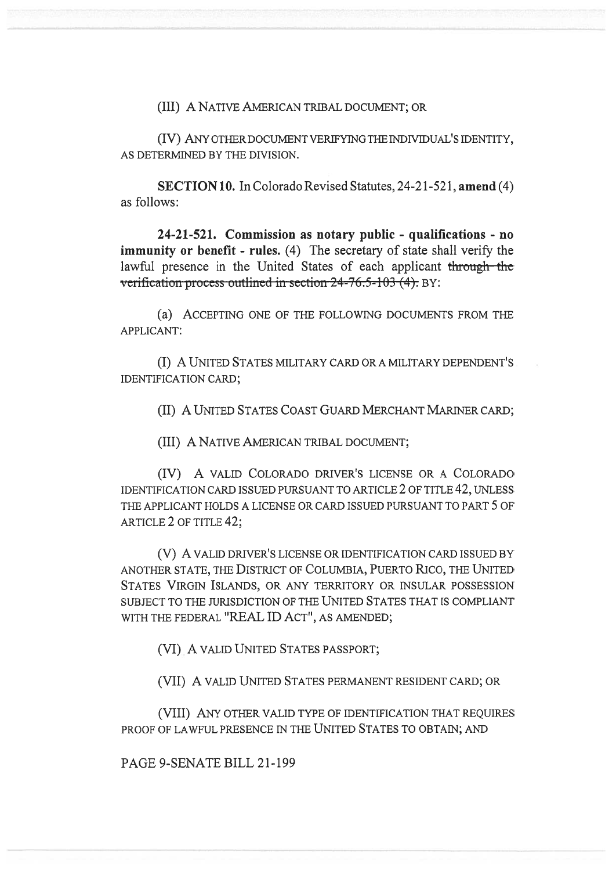(III) A NATIVE AMERICAN TRIBAL DOCUMENT; OR

(IV) ANY OTHER DOCUMENT VERIFYING THE INDIVIDUAL'S IDENTITY, AS DETERMINED BY THE DIVISION.

SECTION 10. In Colorado Revised Statutes, 24-21-521, amend (4) as follows:

24-21-521. Commission as notary public - qualifications - no immunity or benefit - rules. (4) The secretary of state shall verify the lawful presence in the United States of each applicant through the verification process outlined in section 24-76.5-103 (4). BY:

(a) ACCEPTING ONE OF THE FOLLOWING DOCUMENTS FROM THE APPLICANT:

(I) A UNITED STATES MILITARY CARD OR A MILITARY DEPENDENT'S IDENTIFICATION CARD;

(II) A UNITED STATES COAST GUARD MERCHANT MARINER CARD;

(III) A NATIVE AMERICAN TRIBAL DOCUMENT;

(IV) A VALID COLORADO DRIVER'S LICENSE OR A COLORADO IDENTIFICATION CARD ISSUED PURSUANT TO ARTICLE 2 OF TITLE 42, UNLESS THE APPLICANT HOLDS A LICENSE OR CARD ISSUED PURSUANT TO PART 5 OF ARTICLE 2 OF TITLE 42;

(V) A VALID DRIVER'S LICENSE OR IDENTIFICATION CARD ISSUED BY ANOTHER STATE, THE DISTRICT OF COLUMBIA, PUERTO RICO, THE UNITED STATES VIRGIN ISLANDS, OR ANY TERRITORY OR INSULAR POSSESSION SUBJECT TO THE JURISDICTION OF THE UNITED STATES THAT IS COMPLIANT WITH THE FEDERAL "REAL ID ACT", AS AMENDED;

(VI) A VALID UNITED STATES PASSPORT;

(VII) A VALID UNITED STATES PERMANENT RESIDENT CARD; OR

(VIII) ANY OTHER VALID TYPE OF IDENTIFICATION THAT REQUIRES PROOF OF LAWFUL PRESENCE IN THE UNITED STATES TO OBTAIN; AND

PAGE 9-SENATE BILL 21-199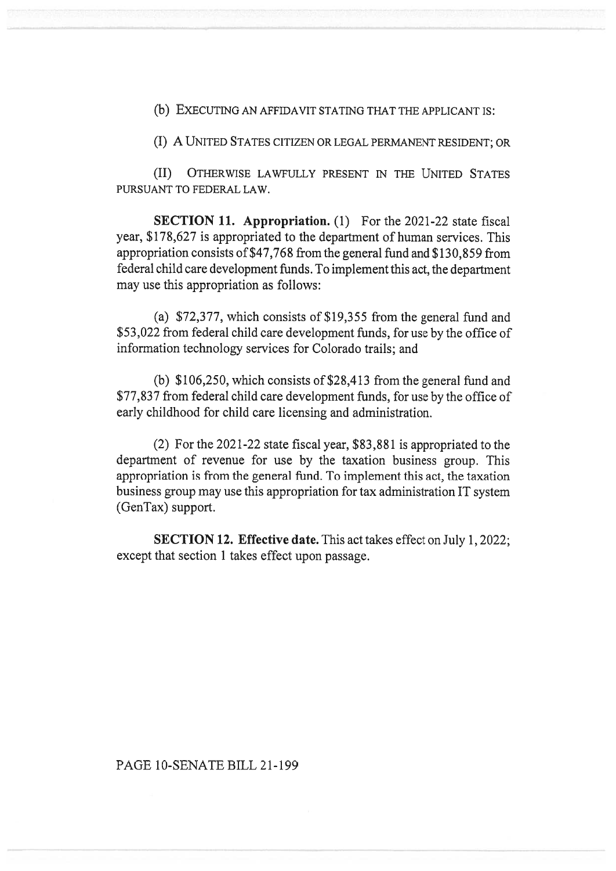(b) EXECUTING AN AFFIDAVIT STATING THAT THE APPLICANT IS:

(I) A UNITED STATES CITIZEN OR LEGAL PERMANENT RESIDENT; OR

(II) OTHERWISE LAWFULLY PRESENT IN THE UNITED STATES PURSUANT TO FEDERAL LAW.

SECTION 11. Appropriation. (1) For the 2021-22 state fiscal year, \$178,627 is appropriated to the department of human services. This appropriation consists of \$47,768 from the general fund and \$130,859 from federal child care development funds. To implement this act, the department may use this appropriation as follows:

(a) \$72,377, which consists of \$19,355 from the general fund and \$53,022 from federal child care development funds, for use by the office of information technology services for Colorado trails; and

(b) \$106,250, which consists of \$28,413 from the general fund and \$77,837 from federal child care development funds, for use by the office of early childhood for child care licensing and administration.

(2) For the 2021-22 state fiscal year, \$83,881 is appropriated to the department of revenue for use by the taxation business group. This appropriation is from the general fund. To implement this act, the taxation business group may use this appropriation for tax administration IT system (GenTax) support.

SECTION 12. Effective date. This act takes effect on July 1, 2022; except that section 1 takes effect upon passage.

## PAGE 10-SENATE BILL 21-199